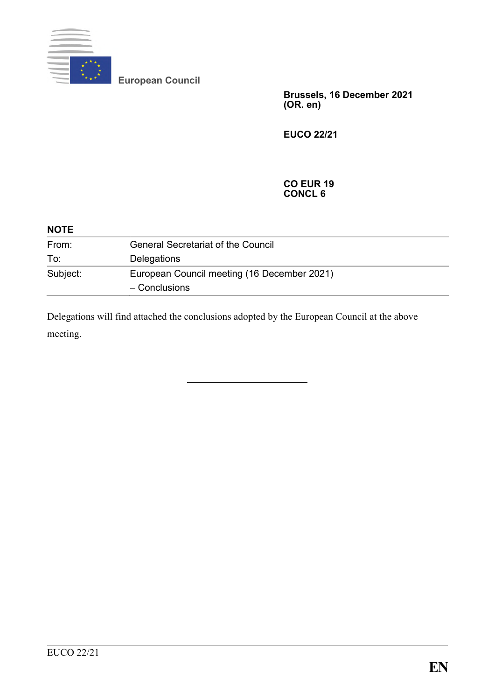

**European Council**

**Brussels, 16 December 2021 (OR. en)**

**EUCO 22/21**

#### **CO EUR 19 CONCL 6**

| <b>NOTE</b> |                                                              |
|-------------|--------------------------------------------------------------|
| From:       | <b>General Secretariat of the Council</b>                    |
| To:         | Delegations                                                  |
| Subject:    | European Council meeting (16 December 2021)<br>- Conclusions |
|             |                                                              |

Delegations will find attached the conclusions adopted by the European Council at the above meeting.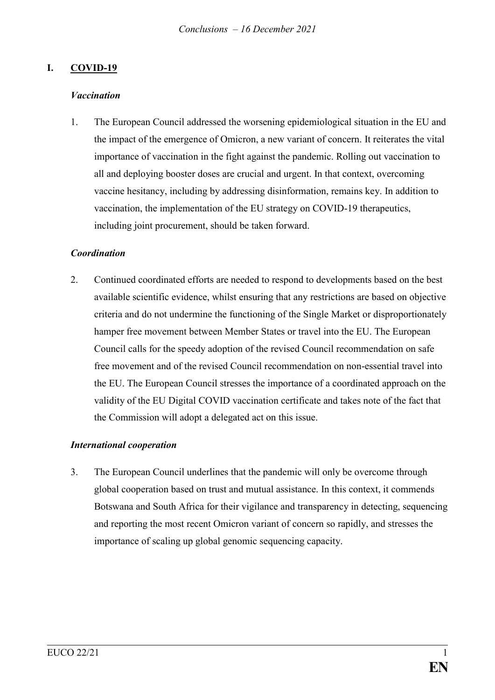## **I. COVID-19**

#### *Vaccination*

1. The European Council addressed the worsening epidemiological situation in the EU and the impact of the emergence of Omicron, a new variant of concern. It reiterates the vital importance of vaccination in the fight against the pandemic. Rolling out vaccination to all and deploying booster doses are crucial and urgent. In that context, overcoming vaccine hesitancy, including by addressing disinformation, remains key. In addition to vaccination, the implementation of the EU strategy on COVID-19 therapeutics, including joint procurement, should be taken forward.

#### *Coordination*

2. Continued coordinated efforts are needed to respond to developments based on the best available scientific evidence, whilst ensuring that any restrictions are based on objective criteria and do not undermine the functioning of the Single Market or disproportionately hamper free movement between Member States or travel into the EU. The European Council calls for the speedy adoption of the revised Council recommendation on safe free movement and of the revised Council recommendation on non-essential travel into the EU. The European Council stresses the importance of a coordinated approach on the validity of the EU Digital COVID vaccination certificate and takes note of the fact that the Commission will adopt a delegated act on this issue.

### *International cooperation*

3. The European Council underlines that the pandemic will only be overcome through global cooperation based on trust and mutual assistance. In this context, it commends Botswana and South Africa for their vigilance and transparency in detecting, sequencing and reporting the most recent Omicron variant of concern so rapidly, and stresses the importance of scaling up global genomic sequencing capacity.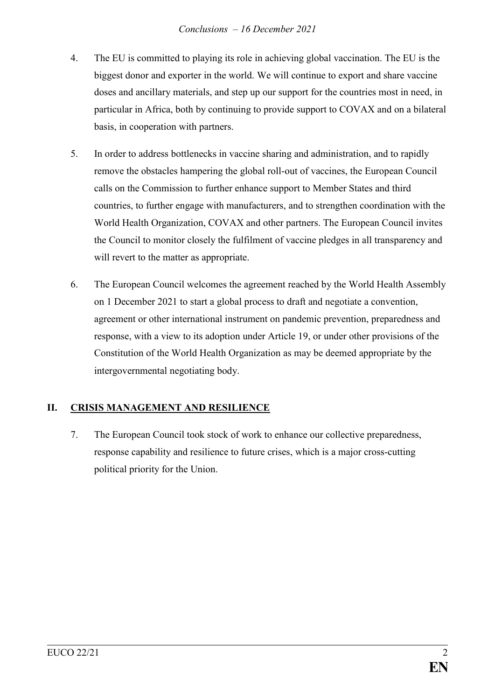- 4. The EU is committed to playing its role in achieving global vaccination. The EU is the biggest donor and exporter in the world. We will continue to export and share vaccine doses and ancillary materials, and step up our support for the countries most in need, in particular in Africa, both by continuing to provide support to COVAX and on a bilateral basis, in cooperation with partners.
- 5. In order to address bottlenecks in vaccine sharing and administration, and to rapidly remove the obstacles hampering the global roll-out of vaccines, the European Council calls on the Commission to further enhance support to Member States and third countries, to further engage with manufacturers, and to strengthen coordination with the World Health Organization, COVAX and other partners. The European Council invites the Council to monitor closely the fulfilment of vaccine pledges in all transparency and will revert to the matter as appropriate.
- 6. The European Council welcomes the agreement reached by the World Health Assembly on 1 December 2021 to start a global process to draft and negotiate a convention, agreement or other international instrument on pandemic prevention, preparedness and response, with a view to its adoption under Article 19, or under other provisions of the Constitution of the World Health Organization as may be deemed appropriate by the intergovernmental negotiating body.

## **II. CRISIS MANAGEMENT AND RESILIENCE**

7. The European Council took stock of work to enhance our collective preparedness, response capability and resilience to future crises, which is a major cross-cutting political priority for the Union.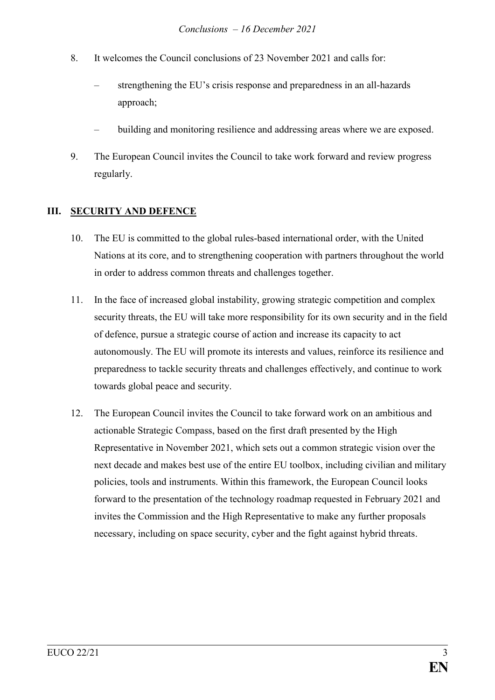- 8. It welcomes the Council conclusions of 23 November 2021 and calls for:
	- strengthening the EU's crisis response and preparedness in an all-hazards approach;
	- building and monitoring resilience and addressing areas where we are exposed.
- 9. The European Council invites the Council to take work forward and review progress regularly.

### **III. SECURITY AND DEFENCE**

- 10. The EU is committed to the global rules-based international order, with the United Nations at its core, and to strengthening cooperation with partners throughout the world in order to address common threats and challenges together.
- 11. In the face of increased global instability, growing strategic competition and complex security threats, the EU will take more responsibility for its own security and in the field of defence, pursue a strategic course of action and increase its capacity to act autonomously. The EU will promote its interests and values, reinforce its resilience and preparedness to tackle security threats and challenges effectively, and continue to work towards global peace and security.
- 12. The European Council invites the Council to take forward work on an ambitious and actionable Strategic Compass, based on the first draft presented by the High Representative in November 2021, which sets out a common strategic vision over the next decade and makes best use of the entire EU toolbox, including civilian and military policies, tools and instruments. Within this framework, the European Council looks forward to the presentation of the technology roadmap requested in February 2021 and invites the Commission and the High Representative to make any further proposals necessary, including on space security, cyber and the fight against hybrid threats.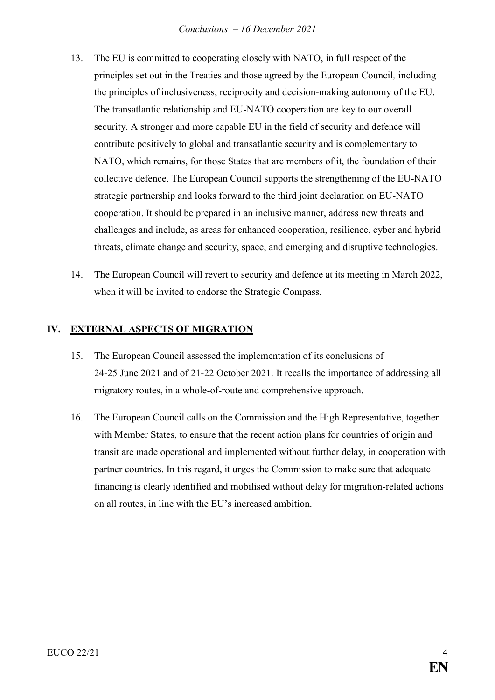- 13. The EU is committed to cooperating closely with NATO, in full respect of the principles set out in the Treaties and those agreed by the European Council*,* including the principles of inclusiveness, reciprocity and decision-making autonomy of the EU. The transatlantic relationship and EU-NATO cooperation are key to our overall security. A stronger and more capable EU in the field of security and defence will contribute positively to global and transatlantic security and is complementary to NATO, which remains, for those States that are members of it, the foundation of their collective defence. The European Council supports the strengthening of the EU-NATO strategic partnership and looks forward to the third joint declaration on EU-NATO cooperation. It should be prepared in an inclusive manner, address new threats and challenges and include, as areas for enhanced cooperation, resilience, cyber and hybrid threats, climate change and security, space, and emerging and disruptive technologies.
- 14. The European Council will revert to security and defence at its meeting in March 2022, when it will be invited to endorse the Strategic Compass.

## **IV. EXTERNAL ASPECTS OF MIGRATION**

- 15. The European Council assessed the implementation of its conclusions of 24-25 June 2021 and of 21-22 October 2021. It recalls the importance of addressing all migratory routes, in a whole-of-route and comprehensive approach.
- 16. The European Council calls on the Commission and the High Representative, together with Member States, to ensure that the recent action plans for countries of origin and transit are made operational and implemented without further delay, in cooperation with partner countries. In this regard, it urges the Commission to make sure that adequate financing is clearly identified and mobilised without delay for migration-related actions on all routes, in line with the EU's increased ambition.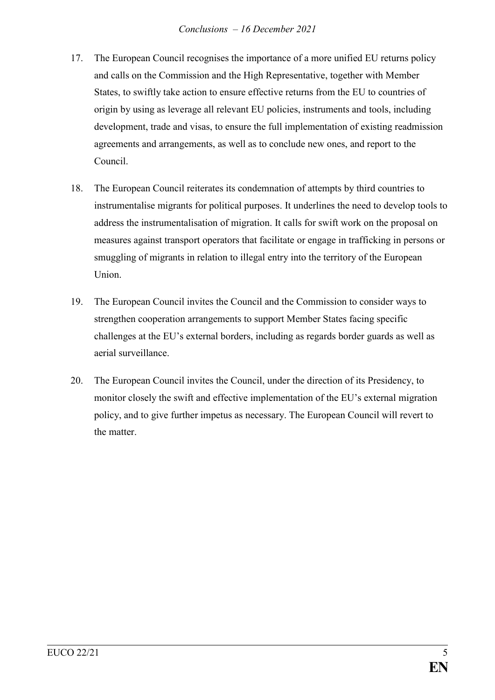- 17. The European Council recognises the importance of a more unified EU returns policy and calls on the Commission and the High Representative, together with Member States, to swiftly take action to ensure effective returns from the EU to countries of origin by using as leverage all relevant EU policies, instruments and tools, including development, trade and visas, to ensure the full implementation of existing readmission agreements and arrangements, as well as to conclude new ones, and report to the Council.
- 18. The European Council reiterates its condemnation of attempts by third countries to instrumentalise migrants for political purposes. It underlines the need to develop tools to address the instrumentalisation of migration. It calls for swift work on the proposal on measures against transport operators that facilitate or engage in trafficking in persons or smuggling of migrants in relation to illegal entry into the territory of the European Union.
- 19. The European Council invites the Council and the Commission to consider ways to strengthen cooperation arrangements to support Member States facing specific challenges at the EU's external borders, including as regards border guards as well as aerial surveillance.
- 20. The European Council invites the Council, under the direction of its Presidency, to monitor closely the swift and effective implementation of the EU's external migration policy, and to give further impetus as necessary. The European Council will revert to the matter.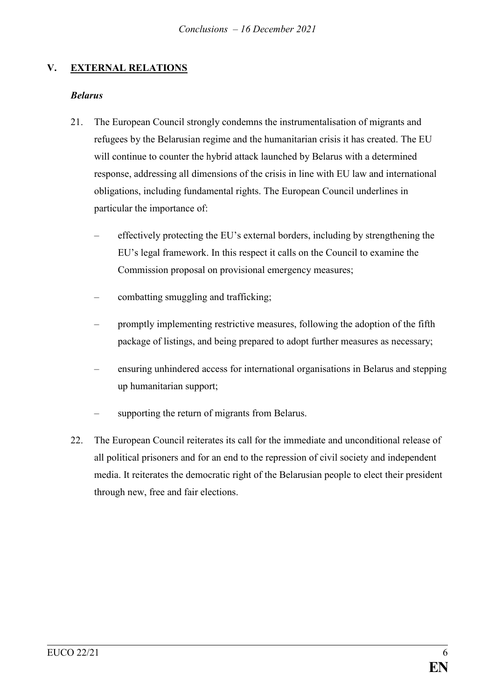## **V. EXTERNAL RELATIONS**

#### *Belarus*

- 21. The European Council strongly condemns the instrumentalisation of migrants and refugees by the Belarusian regime and the humanitarian crisis it has created. The EU will continue to counter the hybrid attack launched by Belarus with a determined response, addressing all dimensions of the crisis in line with EU law and international obligations, including fundamental rights. The European Council underlines in particular the importance of:
	- effectively protecting the EU's external borders, including by strengthening the EU's legal framework. In this respect it calls on the Council to examine the Commission proposal on provisional emergency measures;
	- combatting smuggling and trafficking;
	- promptly implementing restrictive measures, following the adoption of the fifth package of listings, and being prepared to adopt further measures as necessary;
	- ensuring unhindered access for international organisations in Belarus and stepping up humanitarian support;
	- supporting the return of migrants from Belarus.
- 22. The European Council reiterates its call for the immediate and unconditional release of all political prisoners and for an end to the repression of civil society and independent media. It reiterates the democratic right of the Belarusian people to elect their president through new, free and fair elections.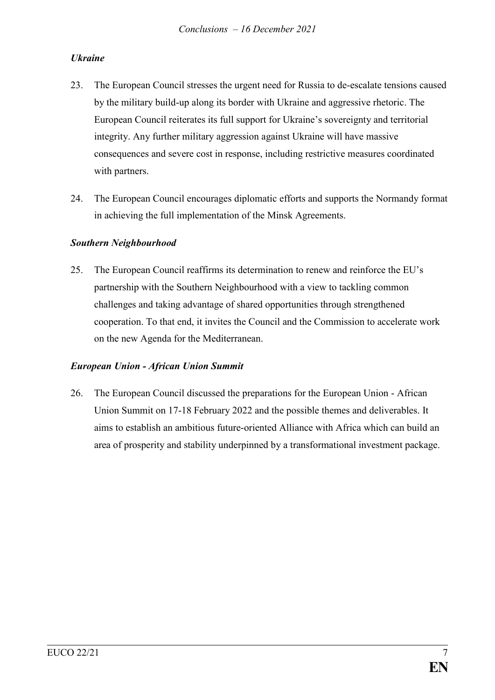## *Ukraine*

- 23. The European Council stresses the urgent need for Russia to de-escalate tensions caused by the military build-up along its border with Ukraine and aggressive rhetoric. The European Council reiterates its full support for Ukraine's sovereignty and territorial integrity. Any further military aggression against Ukraine will have massive consequences and severe cost in response, including restrictive measures coordinated with partners.
- 24. The European Council encourages diplomatic efforts and supports the Normandy format in achieving the full implementation of the Minsk Agreements.

### *Southern Neighbourhood*

25. The European Council reaffirms its determination to renew and reinforce the EU's partnership with the Southern Neighbourhood with a view to tackling common challenges and taking advantage of shared opportunities through strengthened cooperation. To that end, it invites the Council and the Commission to accelerate work on the new Agenda for the Mediterranean.

### *European Union - African Union Summit*

26. The European Council discussed the preparations for the European Union - African Union Summit on 17-18 February 2022 and the possible themes and deliverables. It aims to establish an ambitious future-oriented Alliance with Africa which can build an area of prosperity and stability underpinned by a transformational investment package.